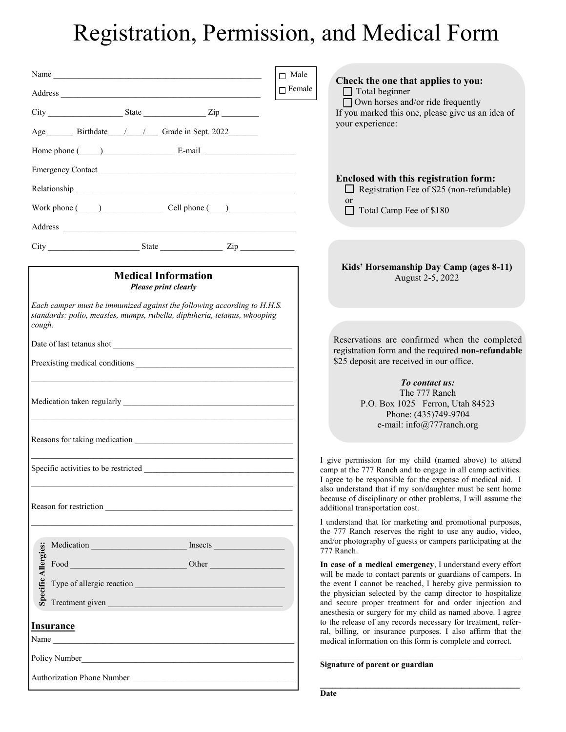## Registration, Permission, and Medical Form

|                                                                                                                                                                                                                                 | $\Box$ Male<br>Check the one that applies to you:                                                                                                                                                                                                                                                                                                                             |
|---------------------------------------------------------------------------------------------------------------------------------------------------------------------------------------------------------------------------------|-------------------------------------------------------------------------------------------------------------------------------------------------------------------------------------------------------------------------------------------------------------------------------------------------------------------------------------------------------------------------------|
|                                                                                                                                                                                                                                 | $\Box$ Female<br>$\Box$ Total beginner                                                                                                                                                                                                                                                                                                                                        |
| $City$ $2ip$ $2ip$                                                                                                                                                                                                              | $\Box$ Own horses and/or ride frequently<br>If you marked this one, please give us an idea of                                                                                                                                                                                                                                                                                 |
| Age ________ Birthdate _____/ _____/ Grade in Sept. 2022 ________                                                                                                                                                               | your experience:                                                                                                                                                                                                                                                                                                                                                              |
| Home phone $(\_\_)$ E-mail $\_\_$ E-mail                                                                                                                                                                                        |                                                                                                                                                                                                                                                                                                                                                                               |
| Emergency Contact                                                                                                                                                                                                               |                                                                                                                                                                                                                                                                                                                                                                               |
|                                                                                                                                                                                                                                 | Enclosed with this registration form:<br>Registration Fee of \$25 (non-refundable)                                                                                                                                                                                                                                                                                            |
| Work phone $\qquad)$ Cell phone $\qquad)$                                                                                                                                                                                       | <sub>or</sub><br>Total Camp Fee of \$180                                                                                                                                                                                                                                                                                                                                      |
|                                                                                                                                                                                                                                 |                                                                                                                                                                                                                                                                                                                                                                               |
| $City$ $Zip$                                                                                                                                                                                                                    |                                                                                                                                                                                                                                                                                                                                                                               |
|                                                                                                                                                                                                                                 | Kids' Horsemanship Day Camp (ages 8-11)                                                                                                                                                                                                                                                                                                                                       |
| <b>Medical Information</b><br>Please print clearly                                                                                                                                                                              | August 2-5, 2022                                                                                                                                                                                                                                                                                                                                                              |
| Each camper must be immunized against the following according to H.H.S.<br>standards: polio, measles, mumps, rubella, diphtheria, tetanus, whooping<br>cough.                                                                   |                                                                                                                                                                                                                                                                                                                                                                               |
|                                                                                                                                                                                                                                 | Reservations are confirmed when the completed<br>registration form and the required non-refundable                                                                                                                                                                                                                                                                            |
|                                                                                                                                                                                                                                 | \$25 deposit are received in our office.                                                                                                                                                                                                                                                                                                                                      |
|                                                                                                                                                                                                                                 | To contact us:<br>The 777 Ranch<br>P.O. Box 1025 Ferron, Utah 84523<br>Phone: (435)749-9704<br>e-mail: info@777ranch.org                                                                                                                                                                                                                                                      |
|                                                                                                                                                                                                                                 |                                                                                                                                                                                                                                                                                                                                                                               |
| Reason for restriction example and the set of the set of the set of the set of the set of the set of the set of the set of the set of the set of the set of the set of the set of the set of the set of the set of the set of   | I give permission for my child (named above) to attend<br>camp at the 777 Ranch and to engage in all camp activities.<br>I agree to be responsible for the expense of medical aid. I<br>also understand that if my son/daughter must be sent home<br>because of disciplinary or other problems, I will assume the<br>additional transportation cost.                          |
|                                                                                                                                                                                                                                 | I understand that for marketing and promotional purposes,                                                                                                                                                                                                                                                                                                                     |
|                                                                                                                                                                                                                                 | the 777 Ranch reserves the right to use any audio, video,<br>and/or photography of guests or campers participating at the<br>777 Ranch.                                                                                                                                                                                                                                       |
| Exercise<br>Exercise<br>Food<br>Food<br>Type of allergic reaction<br>Cycle Type of allergic reaction<br>Cycle Treatment given                                                                                                   | In case of a medical emergency, I understand every effort<br>will be made to contact parents or guardians of campers. In<br>the event I cannot be reached, I hereby give permission to<br>the physician selected by the camp director to hospitalize<br>and secure proper treatment for and order injection and<br>anesthesia or surgery for my child as named above. I agree |
| <b>Insurance</b>                                                                                                                                                                                                                | to the release of any records necessary for treatment, refer-<br>ral, billing, or insurance purposes. I also affirm that the                                                                                                                                                                                                                                                  |
| Name                                                                                                                                                                                                                            | medical information on this form is complete and correct.                                                                                                                                                                                                                                                                                                                     |
| Policy Number 2014                                                                                                                                                                                                              | Signature of parent or guardian                                                                                                                                                                                                                                                                                                                                               |
| Authorization Phone Number<br>1988 - Carl Maria Barbara, actrice and a strategy of the strategy of the strategy of the strategy of the strategy of the strategy of the strategy of the strategy of the strategy of the strategy |                                                                                                                                                                                                                                                                                                                                                                               |